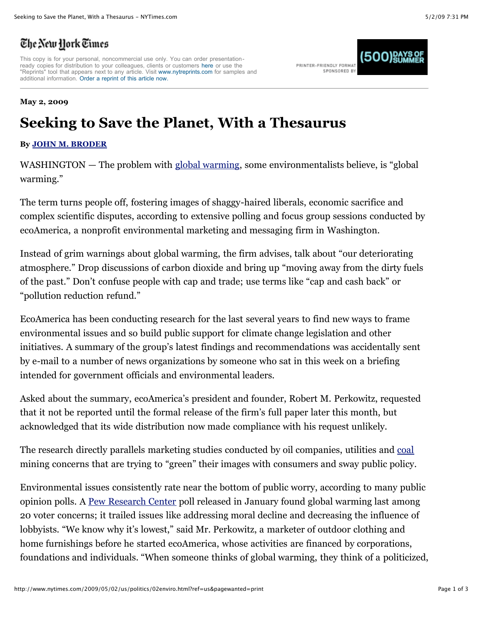## The New Hork Times

This copy is for your personal, noncommercial use only. You can order presentationready copies for distribution to your colleagues, clients or customers [here](http://www.nytimes.com/2009/05/02/us/politics/02enviro.html?ref=us&pagewanted=print#) or use the "Reprints" tool that appears next to any article. Visit [www.nytreprints.com](http://www.nytreprints.com/) for samples and additional information. [Order a reprint of this article now.](http://www.nytimes.com/2009/05/02/us/politics/02enviro.html?ref=us&pagewanted=print#)

## **May 2, 2009**

## **Seeking to Save the Planet, With a Thesaurus**

## **By [JOHN M. BRODER](http://topics.nytimes.com/top/reference/timestopics/people/b/john_m_broder/index.html?inline=nyt-per)**

WASHINGTON — The problem with [global warming,](http://topics.nytimes.com/top/news/science/topics/globalwarming/index.html?inline=nyt-classifier) some environmentalists believe, is "global" warming."

The term turns people off, fostering images of shaggy-haired liberals, economic sacrifice and complex scientific disputes, according to extensive polling and focus group sessions conducted by ecoAmerica, a nonprofit environmental marketing and messaging firm in Washington.

Instead of grim warnings about global warming, the firm advises, talk about "our deteriorating atmosphere." Drop discussions of carbon dioxide and bring up "moving away from the dirty fuels of the past." Don't confuse people with cap and trade; use terms like "cap and cash back" or "pollution reduction refund."

EcoAmerica has been conducting research for the last several years to find new ways to frame environmental issues and so build public support for climate change legislation and other initiatives. A summary of the group's latest findings and recommendations was accidentally sent by e-mail to a number of news organizations by someone who sat in this week on a briefing intended for government officials and environmental leaders.

Asked about the summary, ecoAmerica's president and founder, Robert M. Perkowitz, requested that it not be reported until the formal release of the firm's full paper later this month, but acknowledged that its wide distribution now made compliance with his request unlikely.

The research directly parallels marketing studies conducted by oil companies, utilities and [coal](http://topics.nytimes.com/top/reference/timestopics/subjects/c/coal/index.html?inline=nyt-classifier) mining concerns that are trying to "green" their images with consumers and sway public policy.

Environmental issues consistently rate near the bottom of public worry, according to many public opinion polls. A [Pew Research Center](http://topics.nytimes.com/top/reference/timestopics/organizations/p/pew_research_center/index.html?inline=nyt-org) poll released in January found global warming last among 20 voter concerns; it trailed issues like addressing moral decline and decreasing the influence of lobbyists. "We know why it's lowest," said Mr. Perkowitz, a marketer of outdoor clothing and home furnishings before he started ecoAmerica, whose activities are financed by corporations, foundations and individuals. "When someone thinks of global warming, they think of a politicized,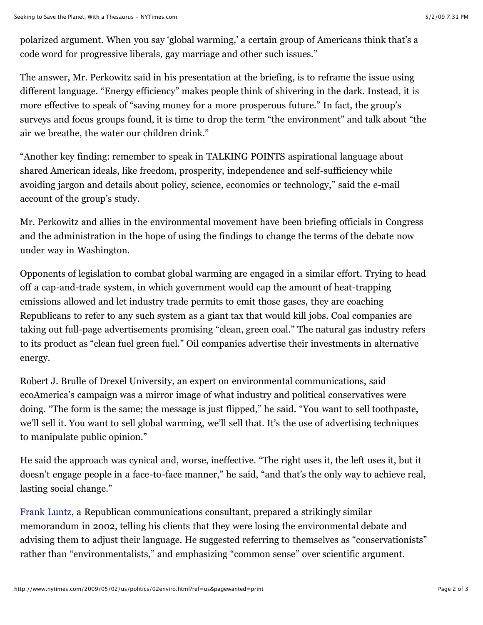polarized argument. When you say 'global warming,' a certain group of Americans think that's a code word for progressive liberals, gay marriage and other such issues."

The answer, Mr. Perkowitz said in his presentation at the briefing, is to reframe the issue using different language. "Energy efficiency" makes people think of shivering in the dark. Instead, it is more effective to speak of "saving money for a more prosperous future." In fact, the group's surveys and focus groups found, it is time to drop the term "the environment" and talk about "the air we breathe, the water our children drink."

"Another key finding: remember to speak in TALKING POINTS aspirational language about shared American ideals, like freedom, prosperity, independence and self-sufficiency while avoiding jargon and details about policy, science, economics or technology," said the e-mail account of the group's study.

Mr. Perkowitz and allies in the environmental movement have been briefing officials in Congress and the administration in the hope of using the findings to change the terms of the debate now under way in Washington.

Opponents of legislation to combat global warming are engaged in a similar effort. Trying to head off a cap-and-trade system, in which government would cap the amount of heat-trapping emissions allowed and let industry trade permits to emit those gases, they are coaching Republicans to refer to any such system as a giant tax that would kill jobs. Coal companies are taking out full-page advertisements promising "clean, green coal." The natural gas industry refers to its product as "clean fuel green fuel." Oil companies advertise their investments in alternative energy.

Robert J. Brulle of Drexel University, an expert on environmental communications, said ecoAmerica's campaign was a mirror image of what industry and political conservatives were doing. "The form is the same; the message is just flipped," he said. "You want to sell toothpaste, we'll sell it. You want to sell global warming, we'll sell that. It's the use of advertising techniques to manipulate public opinion."

He said the approach was cynical and, worse, ineffective. "The right uses it, the left uses it, but it doesn't engage people in a face-to-face manner," he said, "and that's the only way to achieve real, lasting social change."

[Frank Luntz,](http://topics.nytimes.com/top/reference/timestopics/people/l/frank_luntz/index.html?inline=nyt-per) a Republican communications consultant, prepared a strikingly similar memorandum in 2002, telling his clients that they were losing the environmental debate and advising them to adjust their language. He suggested referring to themselves as "conservationists" rather than "environmentalists," and emphasizing "common sense" over scientific argument.